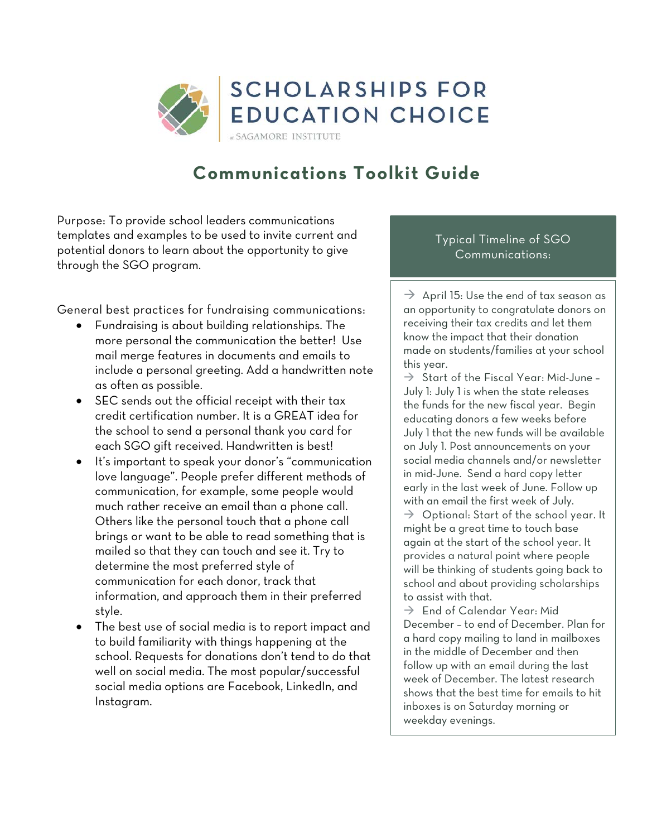

# **Communications Toolkit Guide**

Purpose: To provide school leaders communications templates and examples to be used to invite current and potential donors to learn about the opportunity to give through the SGO program.

General best practices for fundraising communications:

- Fundraising is about building relationships. The more personal the communication the better! Use mail merge features in documents and emails to include a personal greeting. Add a handwritten note as often as possible.
- SEC sends out the official receipt with their tax credit certification number. It is a GREAT idea for the school to send a personal thank you card for each SGO gift received. Handwritten is best!
- It's important to speak your donor's "communication love language". People prefer different methods of communication, for example, some people would much rather receive an email than a phone call. Others like the personal touch that a phone call brings or want to be able to read something that is mailed so that they can touch and see it. Try to determine the most preferred style of communication for each donor, track that information, and approach them in their preferred style.
- The best use of social media is to report impact and to build familiarity with things happening at the school. Requests for donations don't tend to do that well on social media. The most popular/successful social media options are Facebook, LinkedIn, and Instagram.

#### Typical Timeline of SGO Communications:

 $\rightarrow$  April 15: Use the end of tax season as an opportunity to congratulate donors on receiving their tax credits and let them know the impact that their donation made on students/families at your school this year.

 $\Rightarrow$  Start of the Fiscal Year: Mid-June -July 1: July 1 is when the state releases the funds for the new fiscal year. Begin educating donors a few weeks before July 1 that the new funds will be available on July 1. Post announcements on your social media channels and/or newsletter in mid-June. Send a hard copy letter early in the last week of June. Follow up with an email the first week of July.  $\rightarrow$  Optional: Start of the school year. It might be a great time to touch base again at the start of the school year. It provides a natural point where people will be thinking of students going back to school and about providing scholarships to assist with that.

 $\rightarrow$  End of Calendar Year: Mid December – to end of December. Plan for a hard copy mailing to land in mailboxes in the middle of December and then follow up with an email during the last week of December. The latest research shows that the best time for emails to hit inboxes is on Saturday morning or weekday evenings.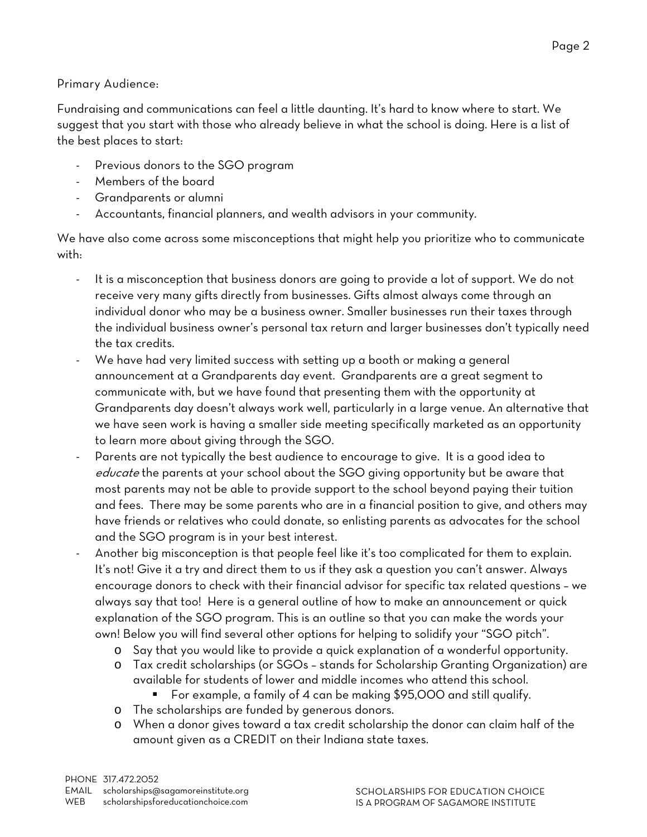Fundraising and communications can feel a little daunting. It's hard to know where to start. We suggest that you start with those who already believe in what the school is doing. Here is a list of the best places to start:

- Previous donors to the SGO program
- Members of the board
- Grandparents or alumni
- Accountants, financial planners, and wealth advisors in your community.

We have also come across some misconceptions that might help you prioritize who to communicate with:

- It is a misconception that business donors are going to provide a lot of support. We do not receive very many gifts directly from businesses. Gifts almost always come through an individual donor who may be a business owner. Smaller businesses run their taxes through the individual business owner's personal tax return and larger businesses don't typically need the tax credits.
- We have had very limited success with setting up a booth or making a general announcement at a Grandparents day event. Grandparents are a great segment to communicate with, but we have found that presenting them with the opportunity at Grandparents day doesn't always work well, particularly in a large venue. An alternative that we have seen work is having a smaller side meeting specifically marketed as an opportunity to learn more about giving through the SGO.
- Parents are not typically the best audience to encourage to give. It is a good idea to educate the parents at your school about the SGO giving opportunity but be aware that most parents may not be able to provide support to the school beyond paying their tuition and fees. There may be some parents who are in a financial position to give, and others may have friends or relatives who could donate, so enlisting parents as advocates for the school and the SGO program is in your best interest.
- Another big misconception is that people feel like it's too complicated for them to explain. It's not! Give it a try and direct them to us if they ask a question you can't answer. Always encourage donors to check with their financial advisor for specific tax related questions – we always say that too! Here is a general outline of how to make an announcement or quick explanation of the SGO program. This is an outline so that you can make the words your own! Below you will find several other options for helping to solidify your "SGO pitch".
	- o Say that you would like to provide a quick explanation of a wonderful opportunity.
	- o Tax credit scholarships (or SGOs stands for Scholarship Granting Organization) are available for students of lower and middle incomes who attend this school.
		- For example, a family of 4 can be making \$95,000 and still qualify.
	- o The scholarships are funded by generous donors.
	- o When a donor gives toward a tax credit scholarship the donor can claim half of the amount given as a CREDIT on their Indiana state taxes.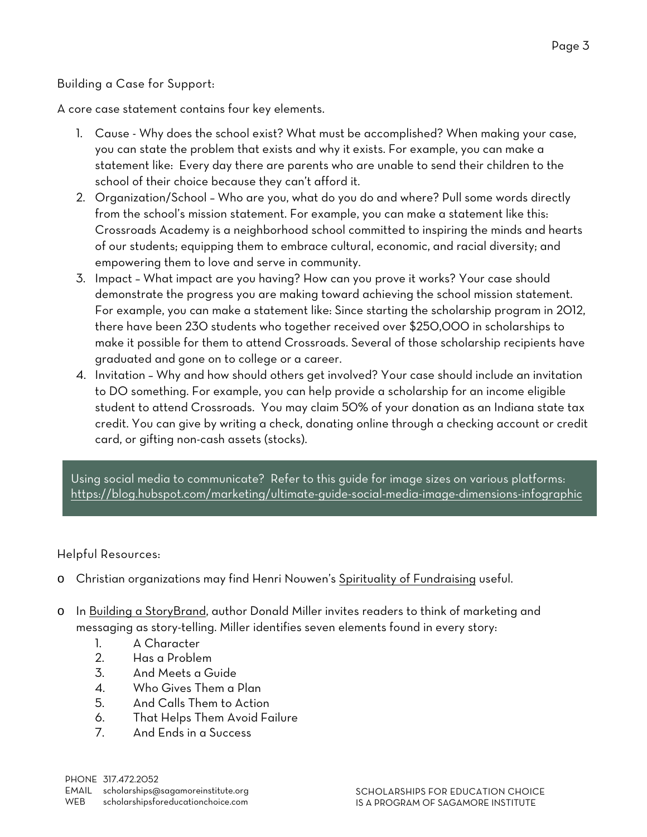#### Building a Case for Support:

A core case statement contains four key elements.

- 1. Cause Why does the school exist? What must be accomplished? When making your case, you can state the problem that exists and why it exists. For example, you can make a statement like: Every day there are parents who are unable to send their children to the school of their choice because they can't afford it.
- 2. Organization/School Who are you, what do you do and where? Pull some words directly from the school's mission statement. For example, you can make a statement like this: Crossroads Academy is a neighborhood school committed to inspiring the minds and hearts of our students; equipping them to embrace cultural, economic, and racial diversity; and empowering them to love and serve in community.
- 3. Impact What impact are you having? How can you prove it works? Your case should demonstrate the progress you are making toward achieving the school mission statement. For example, you can make a statement like: Since starting the scholarship program in 2012, there have been 230 students who together received over \$250,000 in scholarships to make it possible for them to attend Crossroads. Several of those scholarship recipients have graduated and gone on to college or a career.
- 4. Invitation Why and how should others get involved? Your case should include an invitation to DO something. For example, you can help provide a scholarship for an income eligible student to attend Crossroads. You may claim 50% of your donation as an Indiana state tax credit. You can give by writing a check, donating online through a checking account or credit card, or gifting non-cash assets (stocks).

Using social media to communicate? Refer to this guide for image sizes on various platforms: <https://blog.hubspot.com/marketing/ultimate-guide-social-media-image-dimensions-infographic>

#### Helpful Resources:

- o Christian organizations may find Henri Nouwen's Spirituality of Fundraising useful.
- o In Building a StoryBrand, author Donald Miller invites readers to think of marketing and messaging as story-telling. Miller identifies seven elements found in every story:
	- 1. A Character
	- 2. Has a Problem
	- 3. And Meets a Guide
	- 4. Who Gives Them a Plan
	- 5. And Calls Them to Action
	- 6. That Helps Them Avoid Failure
	- 7. And Ends in a Success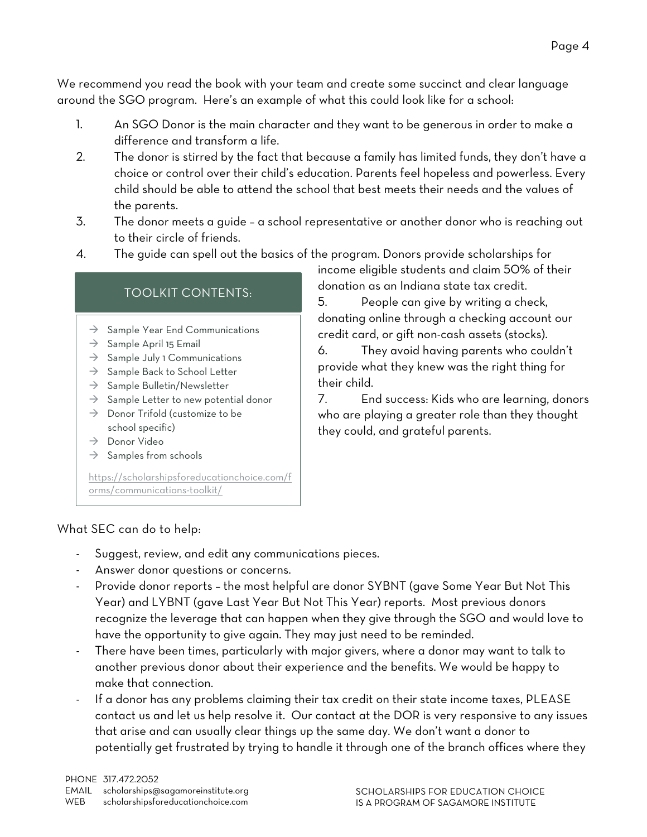We recommend you read the book with your team and create some succinct and clear language around the SGO program. Here's an example of what this could look like for a school:

- 1. An SGO Donor is the main character and they want to be generous in order to make a difference and transform a life.
- 2. The donor is stirred by the fact that because a family has limited funds, they don't have a choice or control over their child's education. Parents feel hopeless and powerless. Every child should be able to attend the school that best meets their needs and the values of the parents.
- 3. The donor meets a guide a school representative or another donor who is reaching out to their circle of friends.
- 4. The guide can spell out the basics of the program. Donors provide scholarships for

## TOOLKIT CONTENTS:

- $\rightarrow$  Sample Year End Communications
- $\rightarrow$  Sample April 15 Email
- $\rightarrow$  Sample July 1 Communications
- $\rightarrow$  Sample Back to School Letter
- $\rightarrow$  Sample Bulletin/Newsletter
- $\rightarrow$  Sample Letter to new potential donor
- $\rightarrow$  Donor Trifold (customize to be school specific)
- $\rightarrow$  Donor Video
- $\rightarrow$  Samples from schools

[https://scholarshipsforeducationchoice.com/f](https://scholarshipsforeducationchoice.com/forms/communications-toolkit/) [orms/communications-toolkit/](https://scholarshipsforeducationchoice.com/forms/communications-toolkit/)

income eligible students and claim 50% of their donation as an Indiana state tax credit.

5. People can give by writing a check, donating online through a checking account our credit card, or gift non-cash assets (stocks).

6. They avoid having parents who couldn't provide what they knew was the right thing for their child.

7. End success: Kids who are learning, donors who are playing a greater role than they thought they could, and grateful parents.

#### What SEC can do to help:

- Suggest, review, and edit any communications pieces.
- Answer donor questions or concerns.
- Provide donor reports the most helpful are donor SYBNT (gave Some Year But Not This Year) and LYBNT (gave Last Year But Not This Year) reports. Most previous donors recognize the leverage that can happen when they give through the SGO and would love to have the opportunity to give again. They may just need to be reminded.
- There have been times, particularly with major givers, where a donor may want to talk to another previous donor about their experience and the benefits. We would be happy to make that connection.
- If a donor has any problems claiming their tax credit on their state income taxes, PLEASE contact us and let us help resolve it. Our contact at the DOR is very responsive to any issues that arise and can usually clear things up the same day. We don't want a donor to potentially get frustrated by trying to handle it through one of the branch offices where they